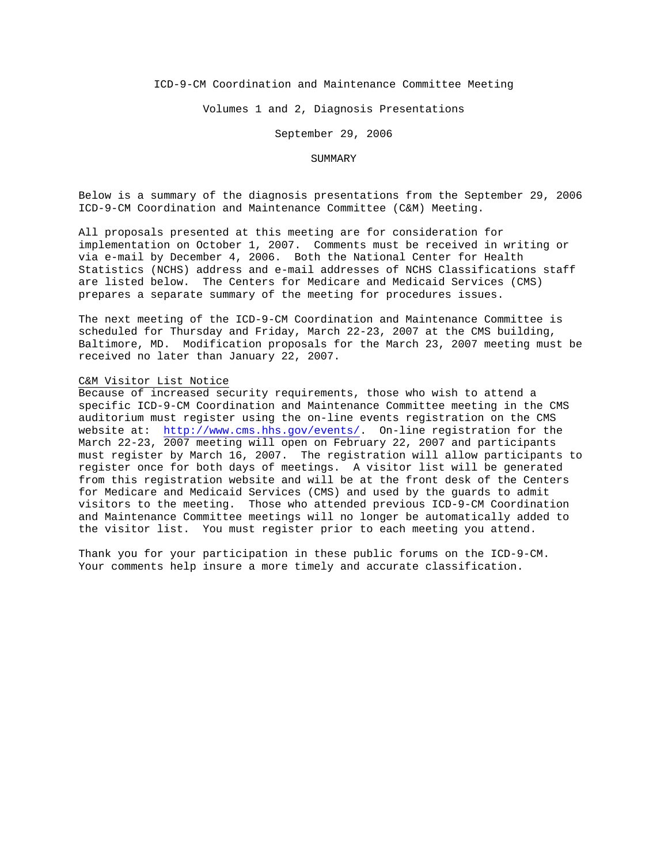## ICD-9-CM Coordination and Maintenance Committee Meeting

Volumes 1 and 2, Diagnosis Presentations

September 29, 2006

### SUMMARY

Below is a summary of the diagnosis presentations from the September 29, 2006 ICD-9-CM Coordination and Maintenance Committee (C&M) Meeting.

All proposals presented at this meeting are for consideration for implementation on October 1, 2007. Comments must be received in writing or via e-mail by December 4, 2006. Both the National Center for Health Statistics (NCHS) address and e-mail addresses of NCHS Classifications staff are listed below. The Centers for Medicare and Medicaid Services (CMS) prepares a separate summary of the meeting for procedures issues.

The next meeting of the ICD-9-CM Coordination and Maintenance Committee is scheduled for Thursday and Friday, March 22-23, 2007 at the CMS building, Baltimore, MD. Modification proposals for the March 23, 2007 meeting must be received no later than January 22, 2007.

#### C&M Visitor List Notice

Because of increased security requirements, those who wish to attend a specific ICD-9-CM Coordination and Maintenance Committee meeting in the CMS auditorium must register using the on-line events registration on the CMS website at: <http://www.cms.hhs.gov/events/>. On-line registration for the March 22-23, 2007 meeting will open on February 22, 2007 and participants must register by March 16, 2007. The registration will allow participants to register once for both days of meetings. A visitor list will be generated from this registration website and will be at the front desk of the Centers for Medicare and Medicaid Services (CMS) and used by the guards to admit visitors to the meeting. Those who attended previous ICD-9-CM Coordination and Maintenance Committee meetings will no longer be automatically added to the visitor list. You must register prior to each meeting you attend.

Thank you for your participation in these public forums on the ICD-9-CM. Your comments help insure a more timely and accurate classification.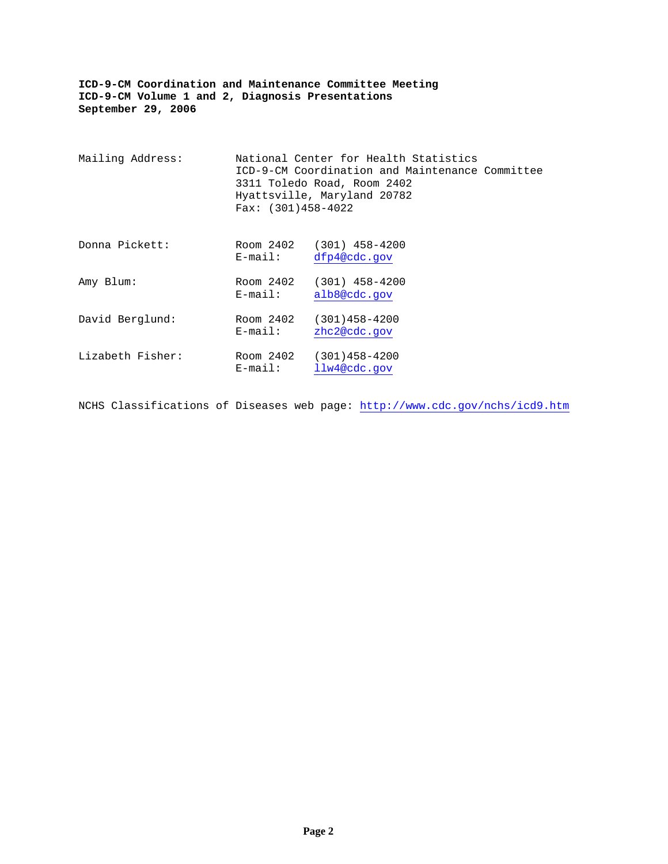| Mailing Address: | Fax: $(301)458-4022$    | National Center for Health Statistics<br>ICD-9-CM Coordination and Maintenance Committee<br>3311 Toledo Road, Room 2402<br>Hyattsville, Maryland 20782 |  |
|------------------|-------------------------|--------------------------------------------------------------------------------------------------------------------------------------------------------|--|
| Donna Pickett:   | Room 2402<br>$E$ -mail: | $(301)$ 458-4200<br>dfp4@cdc.gov                                                                                                                       |  |
| Amy Blum:        | Room 2402<br>$E$ -mail: | $(301)$ 458-4200<br>alb8@cdc.gov                                                                                                                       |  |
| David Berglund:  | Room 2402<br>$E$ -mail: | $(301)458 - 4200$<br>zhc2@cdc.gov                                                                                                                      |  |
| Lizabeth Fisher: | Room 2402<br>$E$ -mail: | $(301)458 - 4200$<br>llw4@cdc.gov                                                                                                                      |  |

NCHS Classifications of Diseases web page: <http://www.cdc.gov/nchs/icd9.htm>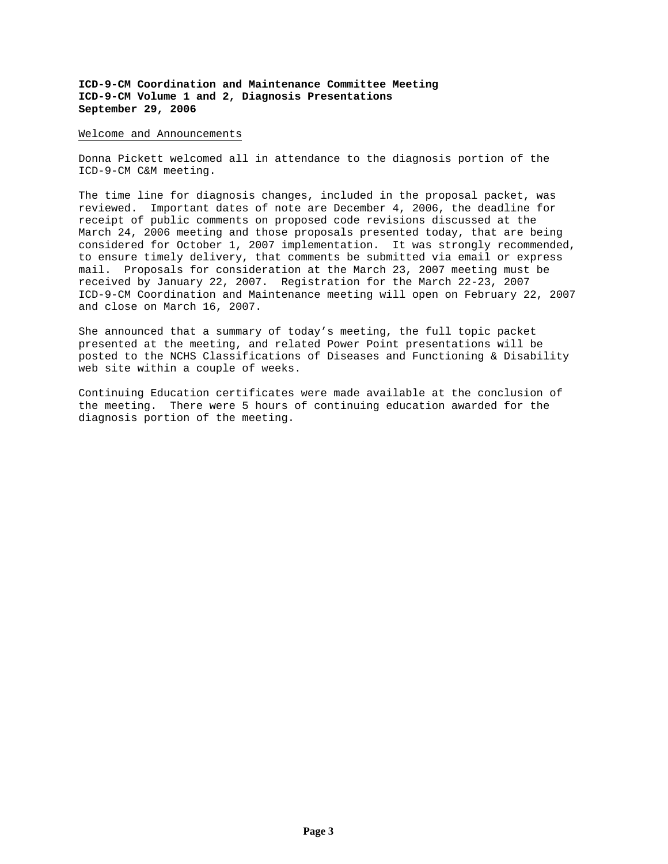#### Welcome and Announcements

Donna Pickett welcomed all in attendance to the diagnosis portion of the ICD-9-CM C&M meeting.

The time line for diagnosis changes, included in the proposal packet, was reviewed. Important dates of note are December 4, 2006, the deadline for receipt of public comments on proposed code revisions discussed at the March 24, 2006 meeting and those proposals presented today, that are being considered for October 1, 2007 implementation. It was strongly recommended, to ensure timely delivery, that comments be submitted via email or express mail. Proposals for consideration at the March 23, 2007 meeting must be received by January 22, 2007. Registration for the March 22-23, 2007 ICD-9-CM Coordination and Maintenance meeting will open on February 22, 2007 and close on March 16, 2007.

She announced that a summary of today's meeting, the full topic packet presented at the meeting, and related Power Point presentations will be posted to the NCHS Classifications of Diseases and Functioning & Disability web site within a couple of weeks.

Continuing Education certificates were made available at the conclusion of the meeting. There were 5 hours of continuing education awarded for the diagnosis portion of the meeting.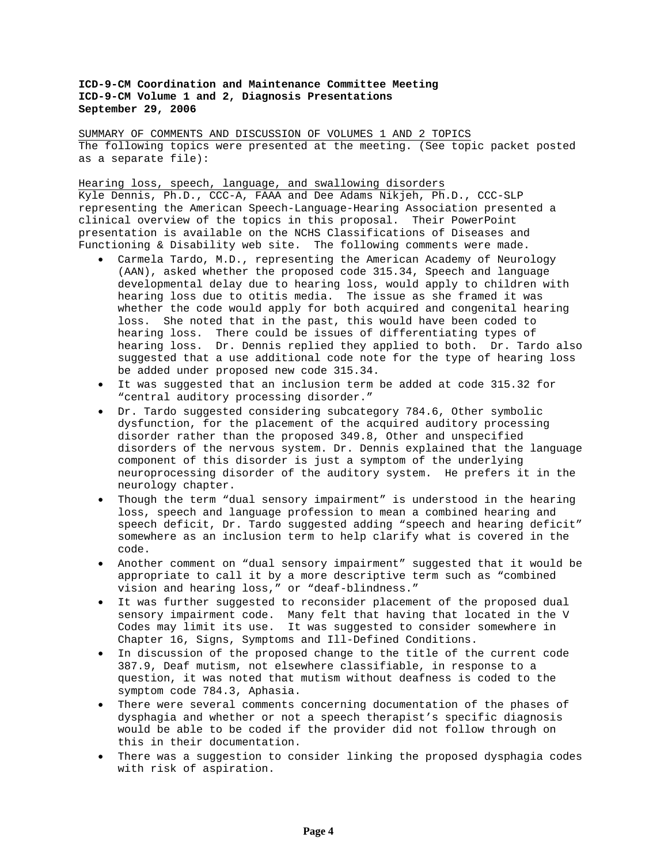SUMMARY OF COMMENTS AND DISCUSSION OF VOLUMES 1 AND 2 TOPICS The following topics were presented at the meeting. (See topic packet posted as a separate file):

Hearing loss, speech, language, and swallowing disorders

Kyle Dennis, Ph.D., CCC-A, FAAA and Dee Adams Nikjeh, Ph.D., CCC-SLP representing the American Speech-Language-Hearing Association presented a clinical overview of the topics in this proposal. Their PowerPoint presentation is available on the NCHS Classifications of Diseases and Functioning & Disability web site. The following comments were made.

- Carmela Tardo, M.D., representing the American Academy of Neurology (AAN), asked whether the proposed code 315.34, Speech and language developmental delay due to hearing loss, would apply to children with hearing loss due to otitis media. The issue as she framed it was whether the code would apply for both acquired and congenital hearing loss. She noted that in the past, this would have been coded to hearing loss. There could be issues of differentiating types of hearing loss. Dr. Dennis replied they applied to both. Dr. Tardo also suggested that a use additional code note for the type of hearing loss be added under proposed new code 315.34.
- It was suggested that an inclusion term be added at code 315.32 for "central auditory processing disorder."
- Dr. Tardo suggested considering subcategory 784.6, Other symbolic dysfunction, for the placement of the acquired auditory processing disorder rather than the proposed 349.8, Other and unspecified disorders of the nervous system. Dr. Dennis explained that the language component of this disorder is just a symptom of the underlying neuroprocessing disorder of the auditory system. He prefers it in the neurology chapter.
- Though the term "dual sensory impairment" is understood in the hearing loss, speech and language profession to mean a combined hearing and speech deficit, Dr. Tardo suggested adding "speech and hearing deficit" somewhere as an inclusion term to help clarify what is covered in the code.
- Another comment on "dual sensory impairment" suggested that it would be appropriate to call it by a more descriptive term such as "combined vision and hearing loss," or "deaf-blindness."
- It was further suggested to reconsider placement of the proposed dual sensory impairment code. Many felt that having that located in the V Codes may limit its use. It was suggested to consider somewhere in Chapter 16, Signs, Symptoms and Ill-Defined Conditions.
- In discussion of the proposed change to the title of the current code 387.9, Deaf mutism, not elsewhere classifiable, in response to a question, it was noted that mutism without deafness is coded to the symptom code 784.3, Aphasia.
- There were several comments concerning documentation of the phases of dysphagia and whether or not a speech therapist's specific diagnosis would be able to be coded if the provider did not follow through on this in their documentation.
- There was a suggestion to consider linking the proposed dysphagia codes with risk of aspiration.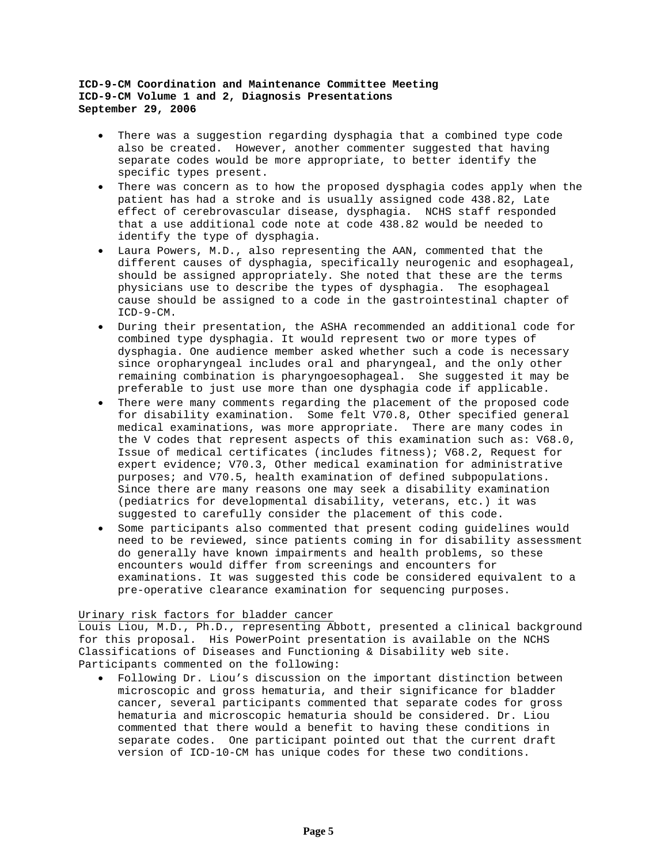- There was a suggestion regarding dysphagia that a combined type code also be created. However, another commenter suggested that having separate codes would be more appropriate, to better identify the specific types present.
- There was concern as to how the proposed dysphagia codes apply when the patient has had a stroke and is usually assigned code 438.82, Late effect of cerebrovascular disease, dysphagia. NCHS staff responded that a use additional code note at code 438.82 would be needed to identify the type of dysphagia.
- Laura Powers, M.D., also representing the AAN, commented that the different causes of dysphagia, specifically neurogenic and esophageal, should be assigned appropriately. She noted that these are the terms physicians use to describe the types of dysphagia. The esophageal cause should be assigned to a code in the gastrointestinal chapter of ICD-9-CM.
- During their presentation, the ASHA recommended an additional code for combined type dysphagia. It would represent two or more types of dysphagia. One audience member asked whether such a code is necessary since oropharyngeal includes oral and pharyngeal, and the only other remaining combination is pharyngoesophageal. She suggested it may be preferable to just use more than one dysphagia code if applicable.
- There were many comments regarding the placement of the proposed code for disability examination. Some felt V70.8, Other specified general medical examinations, was more appropriate. There are many codes in the V codes that represent aspects of this examination such as: V68.0, Issue of medical certificates (includes fitness); V68.2, Request for expert evidence; V70.3, Other medical examination for administrative purposes; and V70.5, health examination of defined subpopulations. Since there are many reasons one may seek a disability examination (pediatrics for developmental disability, veterans, etc.) it was suggested to carefully consider the placement of this code.
- Some participants also commented that present coding guidelines would need to be reviewed, since patients coming in for disability assessment do generally have known impairments and health problems, so these encounters would differ from screenings and encounters for examinations. It was suggested this code be considered equivalent to a pre-operative clearance examination for sequencing purposes.

# Urinary risk factors for bladder cancer

Louis Liou, M.D., Ph.D., representing Abbott, presented a clinical background for this proposal. His PowerPoint presentation is available on the NCHS Classifications of Diseases and Functioning & Disability web site. Participants commented on the following:

• Following Dr. Liou's discussion on the important distinction between microscopic and gross hematuria, and their significance for bladder cancer, several participants commented that separate codes for gross hematuria and microscopic hematuria should be considered. Dr. Liou commented that there would a benefit to having these conditions in separate codes. One participant pointed out that the current draft version of ICD-10-CM has unique codes for these two conditions.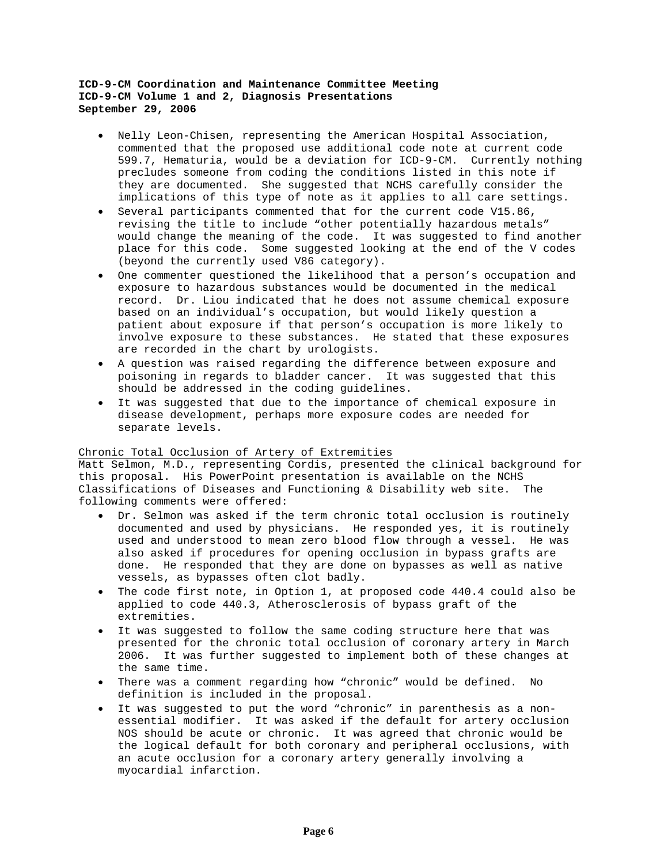- Nelly Leon-Chisen, representing the American Hospital Association, commented that the proposed use additional code note at current code 599.7, Hematuria, would be a deviation for ICD-9-CM. Currently nothing precludes someone from coding the conditions listed in this note if they are documented. She suggested that NCHS carefully consider the implications of this type of note as it applies to all care settings.
- Several participants commented that for the current code V15.86, revising the title to include "other potentially hazardous metals" would change the meaning of the code. It was suggested to find another place for this code. Some suggested looking at the end of the V codes (beyond the currently used V86 category).
- One commenter questioned the likelihood that a person's occupation and exposure to hazardous substances would be documented in the medical record. Dr. Liou indicated that he does not assume chemical exposure based on an individual's occupation, but would likely question a patient about exposure if that person's occupation is more likely to involve exposure to these substances. He stated that these exposures are recorded in the chart by urologists.
- A question was raised regarding the difference between exposure and poisoning in regards to bladder cancer. It was suggested that this should be addressed in the coding guidelines.
- It was suggested that due to the importance of chemical exposure in disease development, perhaps more exposure codes are needed for separate levels.

## Chronic Total Occlusion of Artery of Extremities

Matt Selmon, M.D., representing Cordis, presented the clinical background for this proposal. His PowerPoint presentation is available on the NCHS Classifications of Diseases and Functioning & Disability web site. The following comments were offered:

- Dr. Selmon was asked if the term chronic total occlusion is routinely documented and used by physicians. He responded yes, it is routinely used and understood to mean zero blood flow through a vessel. He was also asked if procedures for opening occlusion in bypass grafts are done. He responded that they are done on bypasses as well as native vessels, as bypasses often clot badly.
- The code first note, in Option 1, at proposed code 440.4 could also be applied to code 440.3, Atherosclerosis of bypass graft of the extremities.
- It was suggested to follow the same coding structure here that was presented for the chronic total occlusion of coronary artery in March 2006. It was further suggested to implement both of these changes at the same time.
- There was a comment regarding how "chronic" would be defined. No definition is included in the proposal.
- It was suggested to put the word "chronic" in parenthesis as a nonessential modifier. It was asked if the default for artery occlusion NOS should be acute or chronic. It was agreed that chronic would be the logical default for both coronary and peripheral occlusions, with an acute occlusion for a coronary artery generally involving a myocardial infarction.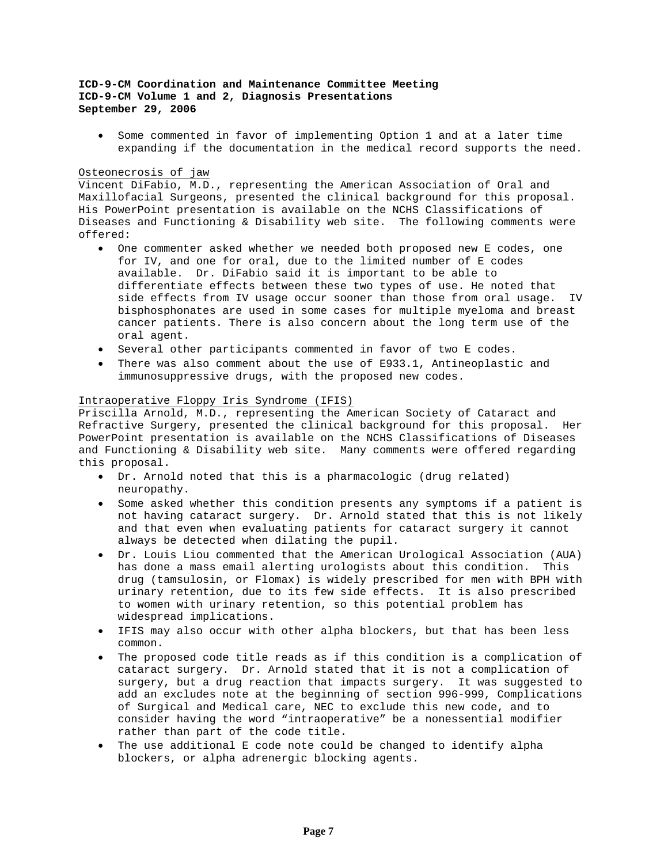• Some commented in favor of implementing Option 1 and at a later time expanding if the documentation in the medical record supports the need.

## Osteonecrosis of jaw

Vincent DiFabio, M.D., representing the American Association of Oral and Maxillofacial Surgeons, presented the clinical background for this proposal. His PowerPoint presentation is available on the NCHS Classifications of Diseases and Functioning & Disability web site. The following comments were offered:

- One commenter asked whether we needed both proposed new E codes, one for IV, and one for oral, due to the limited number of E codes available. Dr. DiFabio said it is important to be able to differentiate effects between these two types of use. He noted that side effects from IV usage occur sooner than those from oral usage. IV bisphosphonates are used in some cases for multiple myeloma and breast cancer patients. There is also concern about the long term use of the oral agent.
- Several other participants commented in favor of two E codes.
- There was also comment about the use of E933.1, Antineoplastic and immunosuppressive drugs, with the proposed new codes.

## Intraoperative Floppy Iris Syndrome (IFIS)

Priscilla Arnold, M.D., representing the American Society of Cataract and Refractive Surgery, presented the clinical background for this proposal. Her PowerPoint presentation is available on the NCHS Classifications of Diseases and Functioning & Disability web site. Many comments were offered regarding this proposal.

- Dr. Arnold noted that this is a pharmacologic (drug related) neuropathy.
- Some asked whether this condition presents any symptoms if a patient is not having cataract surgery. Dr. Arnold stated that this is not likely and that even when evaluating patients for cataract surgery it cannot always be detected when dilating the pupil.
- Dr. Louis Liou commented that the American Urological Association (AUA) has done a mass email alerting urologists about this condition. This drug (tamsulosin, or Flomax) is widely prescribed for men with BPH with urinary retention, due to its few side effects. It is also prescribed to women with urinary retention, so this potential problem has widespread implications.
- IFIS may also occur with other alpha blockers, but that has been less common.
- The proposed code title reads as if this condition is a complication of cataract surgery. Dr. Arnold stated that it is not a complication of surgery, but a drug reaction that impacts surgery. It was suggested to add an excludes note at the beginning of section 996-999, Complications of Surgical and Medical care, NEC to exclude this new code, and to consider having the word "intraoperative" be a nonessential modifier rather than part of the code title.
- The use additional E code note could be changed to identify alpha blockers, or alpha adrenergic blocking agents.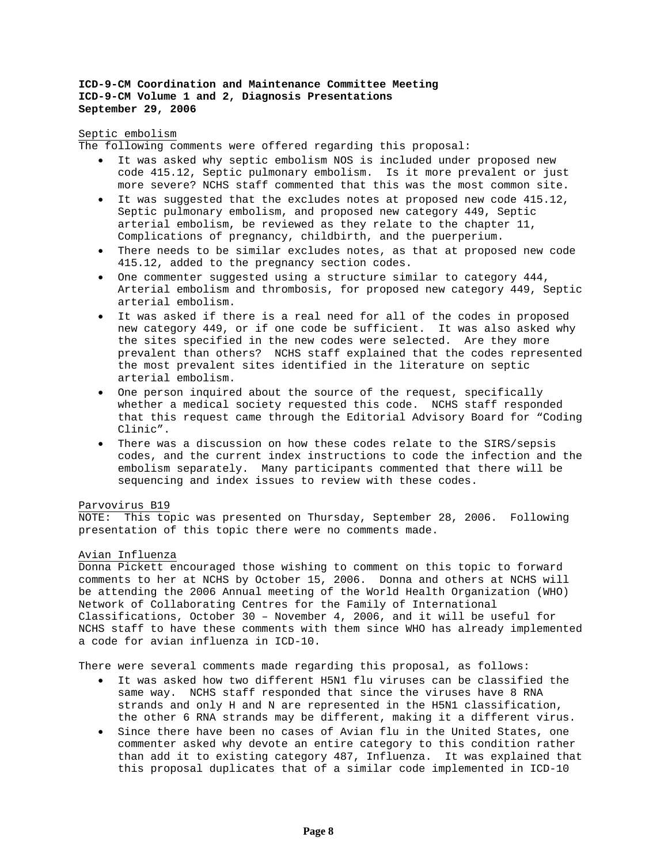### Septic embolism

The following comments were offered regarding this proposal:

- It was asked why septic embolism NOS is included under proposed new code 415.12, Septic pulmonary embolism. Is it more prevalent or just more severe? NCHS staff commented that this was the most common site.
- It was suggested that the excludes notes at proposed new code 415.12, Septic pulmonary embolism, and proposed new category 449, Septic arterial embolism, be reviewed as they relate to the chapter 11, Complications of pregnancy, childbirth, and the puerperium.
- There needs to be similar excludes notes, as that at proposed new code 415.12, added to the pregnancy section codes.
- One commenter suggested using a structure similar to category 444, Arterial embolism and thrombosis, for proposed new category 449, Septic arterial embolism.
- It was asked if there is a real need for all of the codes in proposed new category 449, or if one code be sufficient. It was also asked why the sites specified in the new codes were selected. Are they more prevalent than others? NCHS staff explained that the codes represented the most prevalent sites identified in the literature on septic arterial embolism.
- One person inquired about the source of the request, specifically whether a medical society requested this code. NCHS staff responded that this request came through the Editorial Advisory Board for "Coding Clinic".
- There was a discussion on how these codes relate to the SIRS/sepsis codes, and the current index instructions to code the infection and the embolism separately. Many participants commented that there will be sequencing and index issues to review with these codes.

### Parvovirus B19

NOTE: This topic was presented on Thursday, September 28, 2006. Following presentation of this topic there were no comments made.

#### Avian Influenza

Donna Pickett encouraged those wishing to comment on this topic to forward comments to her at NCHS by October 15, 2006. Donna and others at NCHS will be attending the 2006 Annual meeting of the World Health Organization (WHO) Network of Collaborating Centres for the Family of International Classifications, October 30 – November 4, 2006, and it will be useful for NCHS staff to have these comments with them since WHO has already implemented a code for avian influenza in ICD-10.

There were several comments made regarding this proposal, as follows:

- It was asked how two different H5N1 flu viruses can be classified the same way. NCHS staff responded that since the viruses have 8 RNA strands and only H and N are represented in the H5N1 classification, the other 6 RNA strands may be different, making it a different virus.
- Since there have been no cases of Avian flu in the United States, one commenter asked why devote an entire category to this condition rather than add it to existing category 487, Influenza. It was explained that this proposal duplicates that of a similar code implemented in ICD-10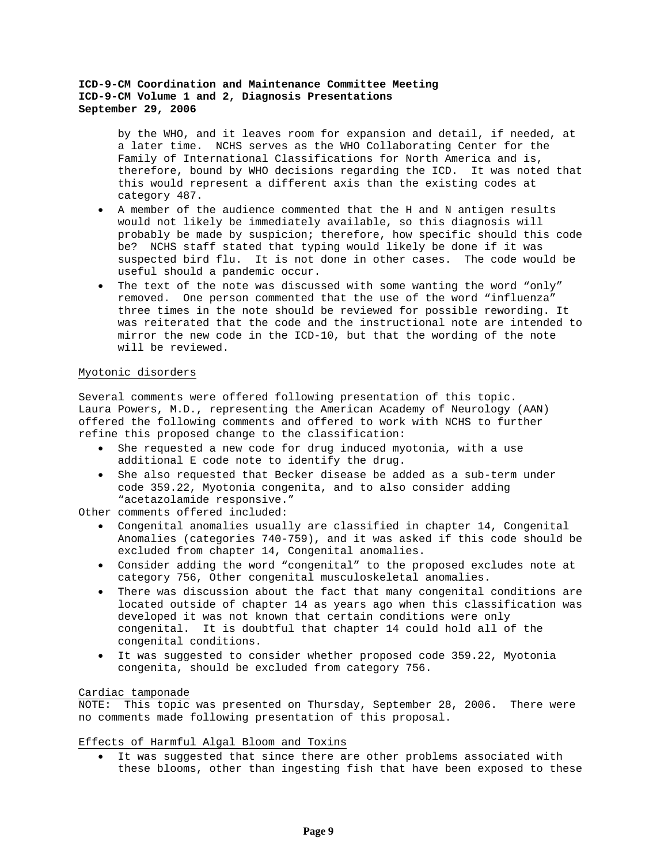by the WHO, and it leaves room for expansion and detail, if needed, at a later time. NCHS serves as the WHO Collaborating Center for the Family of International Classifications for North America and is, therefore, bound by WHO decisions regarding the ICD. It was noted that this would represent a different axis than the existing codes at category 487.

- A member of the audience commented that the H and N antigen results would not likely be immediately available, so this diagnosis will probably be made by suspicion; therefore, how specific should this code be? NCHS staff stated that typing would likely be done if it was suspected bird flu. It is not done in other cases. The code would be useful should a pandemic occur.
- The text of the note was discussed with some wanting the word "only" removed. One person commented that the use of the word "influenza" three times in the note should be reviewed for possible rewording. It was reiterated that the code and the instructional note are intended to mirror the new code in the ICD-10, but that the wording of the note will be reviewed.

## Myotonic disorders

Several comments were offered following presentation of this topic. Laura Powers, M.D., representing the American Academy of Neurology (AAN) offered the following comments and offered to work with NCHS to further refine this proposed change to the classification:

- She requested a new code for drug induced myotonia, with a use additional E code note to identify the drug.
- She also requested that Becker disease be added as a sub-term under code 359.22, Myotonia congenita, and to also consider adding "acetazolamide responsive."

Other comments offered included:

- Congenital anomalies usually are classified in chapter 14, Congenital Anomalies (categories 740-759), and it was asked if this code should be excluded from chapter 14, Congenital anomalies.
- Consider adding the word "congenital" to the proposed excludes note at category 756, Other congenital musculoskeletal anomalies.
- There was discussion about the fact that many congenital conditions are located outside of chapter 14 as years ago when this classification was developed it was not known that certain conditions were only congenital. It is doubtful that chapter 14 could hold all of the congenital conditions.
- It was suggested to consider whether proposed code 359.22, Myotonia congenita, should be excluded from category 756.

### Cardiac tamponade

NOTE: This topic was presented on Thursday, September 28, 2006. There were no comments made following presentation of this proposal.

## Effects of Harmful Algal Bloom and Toxins

• It was suggested that since there are other problems associated with these blooms, other than ingesting fish that have been exposed to these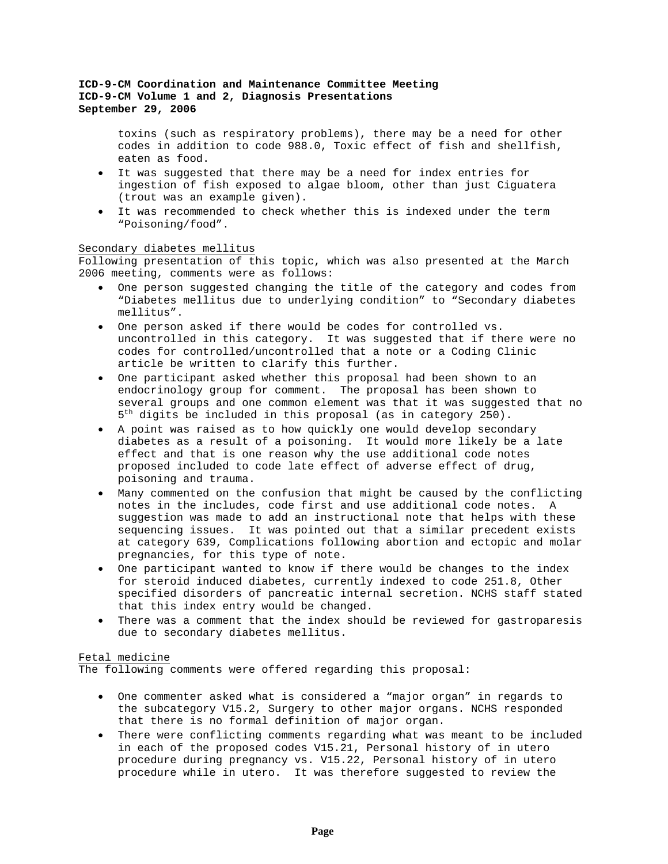toxins (such as respiratory problems), there may be a need for other codes in addition to code 988.0, Toxic effect of fish and shellfish, eaten as food.

- It was suggested that there may be a need for index entries for ingestion of fish exposed to algae bloom, other than just Ciguatera (trout was an example given).
- It was recommended to check whether this is indexed under the term "Poisoning/food".

## Secondary diabetes mellitus

Following presentation of this topic, which was also presented at the March 2006 meeting, comments were as follows:

- One person suggested changing the title of the category and codes from "Diabetes mellitus due to underlying condition" to "Secondary diabetes mellitus".
- One person asked if there would be codes for controlled vs. uncontrolled in this category. It was suggested that if there were no codes for controlled/uncontrolled that a note or a Coding Clinic article be written to clarify this further.
- One participant asked whether this proposal had been shown to an endocrinology group for comment. The proposal has been shown to several groups and one common element was that it was suggested that no  $5<sup>th</sup>$  digits be included in this proposal (as in category 250).
- A point was raised as to how quickly one would develop secondary diabetes as a result of a poisoning. It would more likely be a late effect and that is one reason why the use additional code notes proposed included to code late effect of adverse effect of drug, poisoning and trauma.
- Many commented on the confusion that might be caused by the conflicting notes in the includes, code first and use additional code notes. A suggestion was made to add an instructional note that helps with these sequencing issues. It was pointed out that a similar precedent exists at category 639, Complications following abortion and ectopic and molar pregnancies, for this type of note.
- One participant wanted to know if there would be changes to the index for steroid induced diabetes, currently indexed to code 251.8, Other specified disorders of pancreatic internal secretion. NCHS staff stated that this index entry would be changed.
- There was a comment that the index should be reviewed for gastroparesis due to secondary diabetes mellitus.

## Fetal medicine

The following comments were offered regarding this proposal:

- One commenter asked what is considered a "major organ" in regards to the subcategory V15.2, Surgery to other major organs. NCHS responded that there is no formal definition of major organ.
- There were conflicting comments regarding what was meant to be included in each of the proposed codes V15.21, Personal history of in utero procedure during pregnancy vs. V15.22, Personal history of in utero procedure while in utero. It was therefore suggested to review the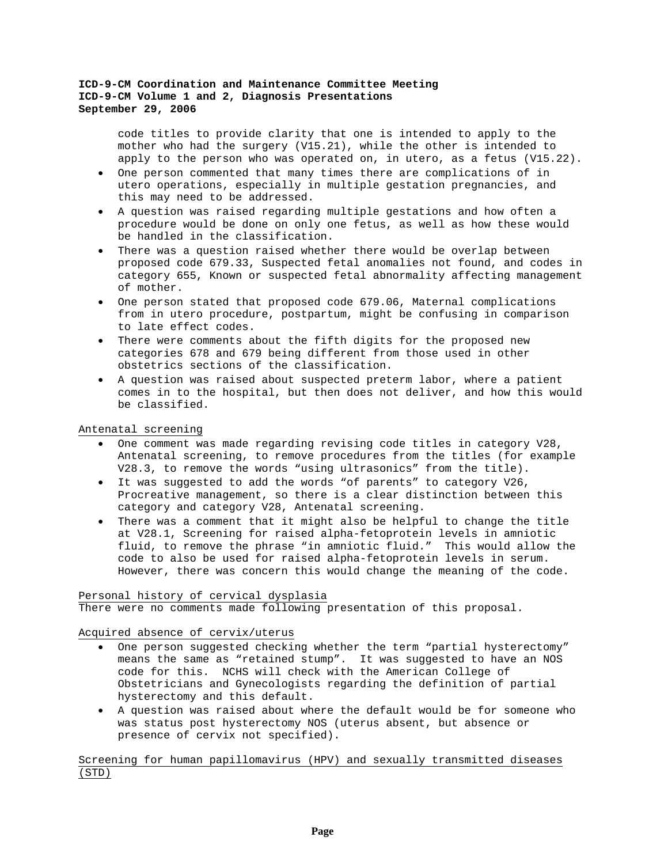code titles to provide clarity that one is intended to apply to the mother who had the surgery (V15.21), while the other is intended to apply to the person who was operated on, in utero, as a fetus (V15.22).

- One person commented that many times there are complications of in utero operations, especially in multiple gestation pregnancies, and this may need to be addressed.
- A question was raised regarding multiple gestations and how often a procedure would be done on only one fetus, as well as how these would be handled in the classification.
- There was a question raised whether there would be overlap between proposed code 679.33, Suspected fetal anomalies not found, and codes in category 655, Known or suspected fetal abnormality affecting management of mother.
- One person stated that proposed code 679.06, Maternal complications from in utero procedure, postpartum, might be confusing in comparison to late effect codes.
- There were comments about the fifth digits for the proposed new categories 678 and 679 being different from those used in other obstetrics sections of the classification.
- A question was raised about suspected preterm labor, where a patient comes in to the hospital, but then does not deliver, and how this would be classified.

Antenatal screening

- One comment was made regarding revising code titles in category V28, Antenatal screening, to remove procedures from the titles (for example V28.3, to remove the words "using ultrasonics" from the title).
- It was suggested to add the words "of parents" to category V26, Procreative management, so there is a clear distinction between this category and category V28, Antenatal screening.
- There was a comment that it might also be helpful to change the title at V28.1, Screening for raised alpha-fetoprotein levels in amniotic fluid, to remove the phrase "in amniotic fluid." This would allow the code to also be used for raised alpha-fetoprotein levels in serum. However, there was concern this would change the meaning of the code.

## Personal history of cervical dysplasia

There were no comments made following presentation of this proposal.

Acquired absence of cervix/uterus

- One person suggested checking whether the term "partial hysterectomy" means the same as "retained stump". It was suggested to have an NOS code for this. NCHS will check with the American College of Obstetricians and Gynecologists regarding the definition of partial hysterectomy and this default.
- A question was raised about where the default would be for someone who was status post hysterectomy NOS (uterus absent, but absence or presence of cervix not specified).

Screening for human papillomavirus (HPV) and sexually transmitted diseases (STD)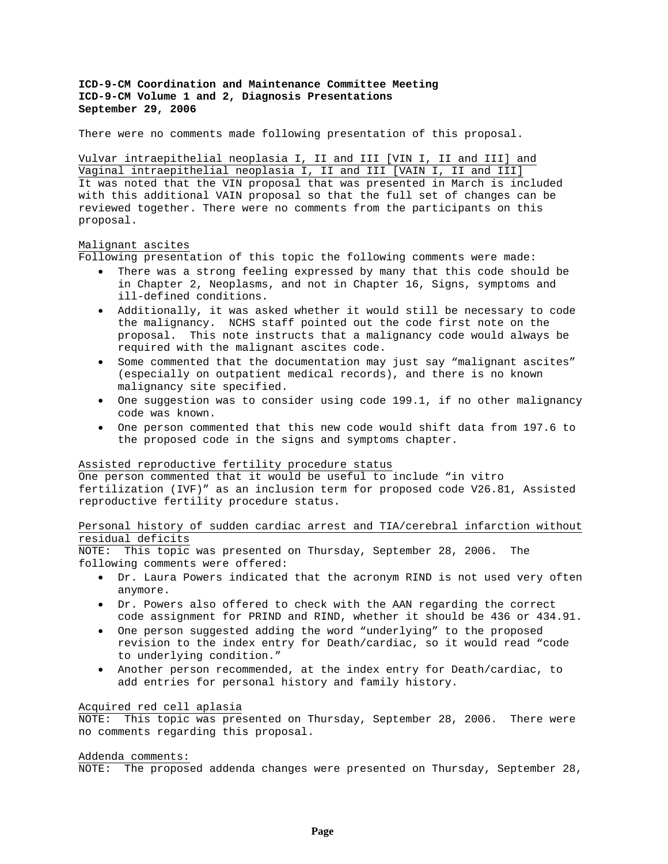There were no comments made following presentation of this proposal.

Vulvar intraepithelial neoplasia I, II and III [VIN I, II and III] and Vaginal intraepithelial neoplasia I, II and III [VAIN I, II and III] It was noted that the VIN proposal that was presented in March is included with this additional VAIN proposal so that the full set of changes can be reviewed together. There were no comments from the participants on this proposal.

## Malignant ascites

Following presentation of this topic the following comments were made:

- There was a strong feeling expressed by many that this code should be in Chapter 2, Neoplasms, and not in Chapter 16, Signs, symptoms and ill-defined conditions.
- Additionally, it was asked whether it would still be necessary to code the malignancy. NCHS staff pointed out the code first note on the proposal. This note instructs that a malignancy code would always be required with the malignant ascites code.
- Some commented that the documentation may just say "malignant ascites" (especially on outpatient medical records), and there is no known malignancy site specified.
- One suggestion was to consider using code 199.1, if no other malignancy code was known.
- One person commented that this new code would shift data from 197.6 to the proposed code in the signs and symptoms chapter.

### Assisted reproductive fertility procedure status

One person commented that it would be useful to include "in vitro fertilization (IVF)" as an inclusion term for proposed code V26.81, Assisted reproductive fertility procedure status.

# Personal history of sudden cardiac arrest and TIA/cerebral infarction without residual deficits

NOTE: This topic was presented on Thursday, September 28, 2006. The following comments were offered:

- Dr. Laura Powers indicated that the acronym RIND is not used very often anymore.
- Dr. Powers also offered to check with the AAN regarding the correct code assignment for PRIND and RIND, whether it should be 436 or 434.91.
- One person suggested adding the word "underlying" to the proposed revision to the index entry for Death/cardiac, so it would read "code to underlying condition."
- Another person recommended, at the index entry for Death/cardiac, to add entries for personal history and family history.

#### Acquired red cell aplasia

NOTE: This topic was presented on Thursday, September 28, 2006. There were no comments regarding this proposal.

#### Addenda comments:

NOTE: The proposed addenda changes were presented on Thursday, September 28,